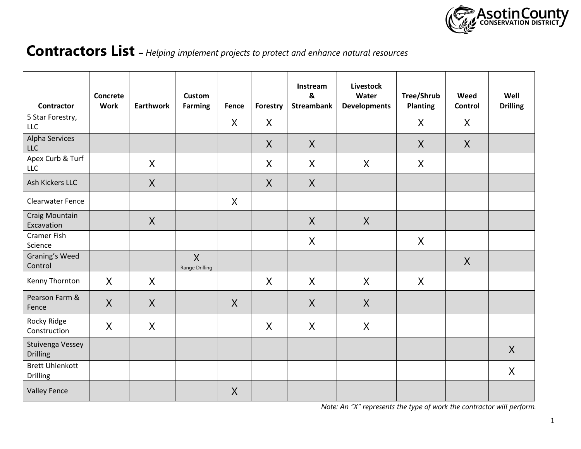

# **Contractors List –** *Helping implement projects to protect and enhance natural resources*

| Contractor                                | Concrete<br><b>Work</b> | <b>Earthwork</b> | <b>Custom</b><br><b>Farming</b> | Fence          | Forestry | Instream<br>&<br><b>Streambank</b> | <b>Livestock</b><br>Water<br><b>Developments</b> | Tree/Shrub<br><b>Planting</b> | Weed<br>Control | Well<br><b>Drilling</b> |
|-------------------------------------------|-------------------------|------------------|---------------------------------|----------------|----------|------------------------------------|--------------------------------------------------|-------------------------------|-----------------|-------------------------|
| 5 Star Forestry,<br><b>LLC</b>            |                         |                  |                                 | $\sf X$        | X        |                                    |                                                  | X                             | X               |                         |
| Alpha Services<br><b>LLC</b>              |                         |                  |                                 |                | $\sf X$  | $\sf X$                            |                                                  | X                             | $\sf X$         |                         |
| Apex Curb & Turf<br><b>LLC</b>            |                         | $\sf X$          |                                 |                | X        | X                                  | $\sf X$                                          | $\sf X$                       |                 |                         |
| Ash Kickers LLC                           |                         | $\sf X$          |                                 |                | $\sf X$  | X                                  |                                                  |                               |                 |                         |
| <b>Clearwater Fence</b>                   |                         |                  |                                 | $\sf X$        |          |                                    |                                                  |                               |                 |                         |
| Craig Mountain<br>Excavation              |                         | X                |                                 |                |          | $\sf X$                            | $\sf X$                                          |                               |                 |                         |
| <b>Cramer Fish</b><br>Science             |                         |                  |                                 |                |          | X                                  |                                                  | X                             |                 |                         |
| Graning's Weed<br>Control                 |                         |                  | $\sf X$<br>Range Drilling       |                |          |                                    |                                                  |                               | $\sf X$         |                         |
| Kenny Thornton                            | $\sf X$                 | X                |                                 |                | X        | X                                  | X                                                | X                             |                 |                         |
| Pearson Farm &<br>Fence                   | $\sf X$                 | $\sf X$          |                                 | $\overline{X}$ |          | $\sf X$                            | $\sf X$                                          |                               |                 |                         |
| Rocky Ridge<br>Construction               | $\sf X$                 | X                |                                 |                | X        | X                                  | $\sf X$                                          |                               |                 |                         |
| Stuivenga Vessey<br><b>Drilling</b>       |                         |                  |                                 |                |          |                                    |                                                  |                               |                 | X                       |
| <b>Brett Uhlenkott</b><br><b>Drilling</b> |                         |                  |                                 |                |          |                                    |                                                  |                               |                 | $\sf X$                 |
| <b>Valley Fence</b>                       |                         |                  |                                 | $\sf X$        |          |                                    |                                                  |                               |                 |                         |

 *Note: An "X" represents the type of work the contractor will perform.*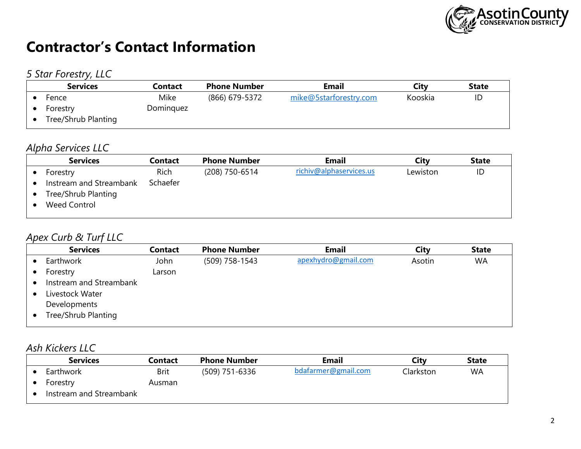

# **Contractor's Contact Information**

### *5 Star Forestry, LLC*

| <b>Services</b>     | Contact   | <b>Phone Number</b> | <b>Email</b>           | Citv    | <b>State</b> |
|---------------------|-----------|---------------------|------------------------|---------|--------------|
| Fence               | Mike      | (866) 679-5372      | mike@5starforestry.com | Kooskia | ID           |
| Forestry            | Dominguez |                     |                        |         |              |
| Tree/Shrub Planting |           |                     |                        |         |              |
|                     |           |                     |                        |         |              |

### *Alpha Services LLC*

| <b>Services</b>                                                       | <b>Contact</b> | <b>Phone Number</b> | <b>Email</b>            | City     | <b>State</b> |
|-----------------------------------------------------------------------|----------------|---------------------|-------------------------|----------|--------------|
| Forestry                                                              | <b>Rich</b>    | (208) 750-6514      | richiv@alphaservices.us | Lewiston | ID           |
| Instream and Streambank<br>Tree/Shrub Planting<br><b>Weed Control</b> | Schaefer       |                     |                         |          |              |

### *Apex Curb & Turf LLC*

| <b>Services</b>         | <b>Contact</b> | <b>Phone Number</b> | <b>Email</b>        | City   | <b>State</b> |
|-------------------------|----------------|---------------------|---------------------|--------|--------------|
| Earthwork               | John           | (509) 758-1543      | apexhydro@gmail.com | Asotin | <b>WA</b>    |
| Forestry                | Larson         |                     |                     |        |              |
| Instream and Streambank |                |                     |                     |        |              |
| Livestock Water         |                |                     |                     |        |              |
| Developments            |                |                     |                     |        |              |
| Tree/Shrub Planting     |                |                     |                     |        |              |
|                         |                |                     |                     |        |              |

### *Ash Kickers LLC*

| <b>Services</b>         | Contact     | <b>Phone Number</b> | <b>Email</b>        | City      | <b>State</b> |
|-------------------------|-------------|---------------------|---------------------|-----------|--------------|
| Earthwork               | <b>Brit</b> | (509) 751-6336      | bdafarmer@gmail.com | Clarkston | <b>WA</b>    |
| Forestry                | Ausman      |                     |                     |           |              |
| Instream and Streambank |             |                     |                     |           |              |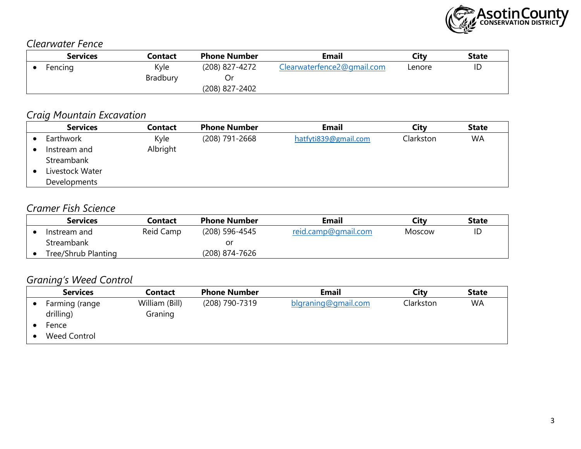

#### *Clearwater Fence*

| <b>Services</b> | <b>Contact</b>  | <b>Phone Number</b> | <b>Email</b>               | Citv   | <b>State</b> |
|-----------------|-----------------|---------------------|----------------------------|--------|--------------|
| Fencing         | Kyle            | (208) 827-4272      | Clearwaterfence2@gmail.com | Lenore | ID           |
|                 | <b>Bradbury</b> |                     |                            |        |              |
|                 |                 | (208) 827-2402      |                            |        |              |

### *Craig Mountain Excavation*

| <b>Services</b> | <b>Contact</b> | <b>Phone Number</b> | <b>Email</b>         | City      | <b>State</b> |
|-----------------|----------------|---------------------|----------------------|-----------|--------------|
| Earthwork       | Kyle           | (208) 791-2668      | hatfyti839@gmail.com | Clarkston | <b>WA</b>    |
| Instream and    | Albright       |                     |                      |           |              |
| Streambank      |                |                     |                      |           |              |
| Livestock Water |                |                     |                      |           |              |
| Developments    |                |                     |                      |           |              |

#### *Cramer Fish Science*

| <b>Services</b>     | <b>Contact</b> | <b>Phone Number</b> | Email               | Citv   | <b>State</b> |
|---------------------|----------------|---------------------|---------------------|--------|--------------|
| Instream and        | Reid Camp      | (208) 596-4545      | reid.camp@gmail.com | Moscow | ID           |
| <b>Streambank</b>   |                | or                  |                     |        |              |
| Tree/Shrub Planting |                | (208) 874-7626      |                     |        |              |

# *Graning's Weed Control*

| <b>Services</b> | <b>Contact</b> | <b>Phone Number</b> | <b>Email</b>        | Citv      | <b>State</b> |
|-----------------|----------------|---------------------|---------------------|-----------|--------------|
| Farming (range  | William (Bill) | (208) 790-7319      | blgraning@gmail.com | Clarkston | <b>WA</b>    |
| drilling)       | Graning        |                     |                     |           |              |
| Fence           |                |                     |                     |           |              |
| Weed Control    |                |                     |                     |           |              |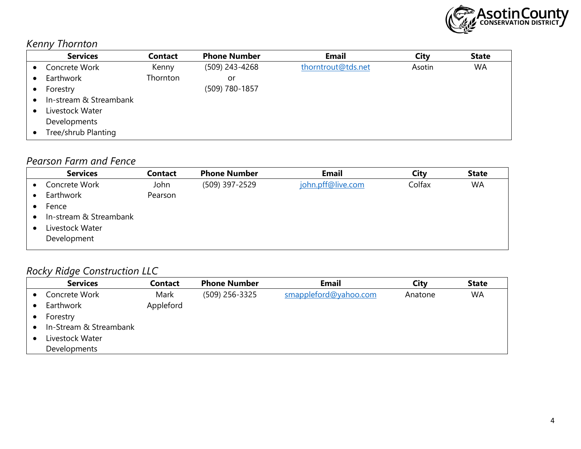

# *Kenny Thornton*

|           | <b>Services</b>        | <b>Contact</b> | <b>Phone Number</b> | <b>Email</b>       | <b>City</b> | <b>State</b> |
|-----------|------------------------|----------------|---------------------|--------------------|-------------|--------------|
| $\bullet$ | Concrete Work          | Kenny          | (509) 243-4268      | thorntrout@tds.net | Asotin      | <b>WA</b>    |
|           | Earthwork              | Thornton       | or                  |                    |             |              |
|           | Forestry               |                | (509) 780-1857      |                    |             |              |
|           | In-stream & Streambank |                |                     |                    |             |              |
|           | Livestock Water        |                |                     |                    |             |              |
|           | Developments           |                |                     |                    |             |              |
|           | Tree/shrub Planting    |                |                     |                    |             |              |

#### *Pearson Farm and Fence*

| <b>Services</b>        | <b>Contact</b> | <b>Phone Number</b> | <b>Email</b>      | City   | <b>State</b> |
|------------------------|----------------|---------------------|-------------------|--------|--------------|
| Concrete Work          | John           | (509) 397-2529      | john.pff@live.com | Colfax | <b>WA</b>    |
| Earthwork              | Pearson        |                     |                   |        |              |
| Fence                  |                |                     |                   |        |              |
| In-stream & Streambank |                |                     |                   |        |              |
| Livestock Water        |                |                     |                   |        |              |
| Development            |                |                     |                   |        |              |

# *Rocky Ridge Construction LLC*

| <b>Services</b>        | <b>Contact</b> | <b>Phone Number</b> | <b>Email</b>          | City    | <b>State</b> |
|------------------------|----------------|---------------------|-----------------------|---------|--------------|
| Concrete Work          | Mark           | (509) 256-3325      | smappleford@yahoo.com | Anatone | <b>WA</b>    |
| Earthwork              | Appleford      |                     |                       |         |              |
| Forestry               |                |                     |                       |         |              |
| In-Stream & Streambank |                |                     |                       |         |              |
| Livestock Water        |                |                     |                       |         |              |
| Developments           |                |                     |                       |         |              |